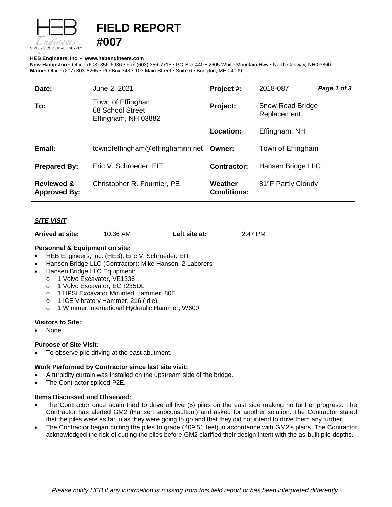

# **FIELD REPORT**

## **HEB Engineers, Inc.** • **[www.hebengineer](http://www.hebengineers.com/)s.com**

**#007**

**New Hampshire:** Office (603) 356-6936 • Fax (603) 356-7715 • PO Box 440 • 2605 White Mountain Hwy • North Conway, NH 03860 **Maine:** Office (207) 803-8265 • PO Box 343 • 103 Main Street • Suite 6 • Bridgton, ME 04009

| Date:                                        | June 2, 2021                                                 | Project #:                    | 2018-087                        | Page 1 of 3 |
|----------------------------------------------|--------------------------------------------------------------|-------------------------------|---------------------------------|-------------|
| To:                                          | Town of Effingham<br>68 School Street<br>Effingham, NH 03882 | Project:                      | Snow Road Bridge<br>Replacement |             |
|                                              |                                                              | <b>Location:</b>              | Effingham, NH                   |             |
| Email:                                       | townofeffingham@effinghamnh.net                              | Owner:                        | Town of Effingham               |             |
| <b>Prepared By:</b>                          | Eric V. Schroeder, EIT                                       | <b>Contractor:</b>            | Hansen Bridge LLC               |             |
| <b>Reviewed &amp;</b><br><b>Approved By:</b> | Christopher R. Fournier, PE                                  | Weather<br><b>Conditions:</b> | 81°F Partly Cloudy              |             |

# *SITE VISIT*

| 10:36 AM<br>Arrived at site: | Left site at: | 2:47 PM |
|------------------------------|---------------|---------|
|------------------------------|---------------|---------|

# **Personnel & Equipment on site:**

- HEB Engineers, Inc. (HEB): Eric V. Schroeder, EIT
- Hansen Bridge LLC (Contractor): Mike Hansen, 2 Laborers
- Hansen Bridge LLC Equipment:
	- o 1 Volvo Excavator, VE1336
	- o 1 Volvo Excavator, ECR235DL
	- o 1 HPSI Excavator Mounted Hammer, 80E
	- o 1 ICE Vibratory Hammer, 216 (Idle)
	- o 1 Wimmer International Hydraulic Hammer, W600

## **Visitors to Site:**

None.

## **Purpose of Site Visit:**

• To observe pile driving at the east abutment.

## **Work Performed by Contractor since last site visit:**

- A turbidity curtain was installed on the upstream side of the bridge.
- The Contractor spliced P2E.

## **Items Discussed and Observed:**

- The Contractor once again tried to drive all five (5) piles on the east side making no further progress. The Contractor has alerted GM2 (Hansen subconsultant) and asked for another solution. The Contractor stated that the piles were as far in as they were going to go and that they did not intend to drive them any further.
- The Contractor began cutting the piles to grade (409.51 feet) in accordance with GM2's plans. The Contractor acknowledged the risk of cutting the piles before GM2 clarified their design intent with the as-built pile depths.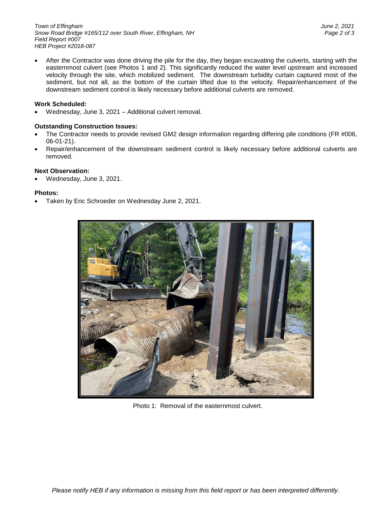*Town of Effingham June 2, 2021 Snow Road Bridge #165/112 over South River, Effingham, NH Page 2 of 3 Field Report #007 HEB Project #2018-087*

• After the Contractor was done driving the pile for the day, they began excavating the culverts, starting with the easternmost culvert (see Photos 1 and 2). This significantly reduced the water level upstream and increased velocity through the site, which mobilized sediment. The downstream turbidity curtain captured most of the sediment, but not all, as the bottom of the curtain lifted due to the velocity. Repair/enhancement of the downstream sediment control is likely necessary before additional culverts are removed.

#### **Work Scheduled:**

• Wednesday, June 3, 2021 – Additional culvert removal.

#### **Outstanding Construction Issues:**

- The Contractor needs to provide revised GM2 design information regarding differing pile conditions (FR #006, 06-01-21).
- Repair/enhancement of the downstream sediment control is likely necessary before additional culverts are removed.

#### **Next Observation:**

• Wednesday, June 3, 2021.

#### **Photos:**

• Taken by Eric Schroeder on Wednesday June 2, 2021.



Photo 1: Removal of the easternmost culvert.